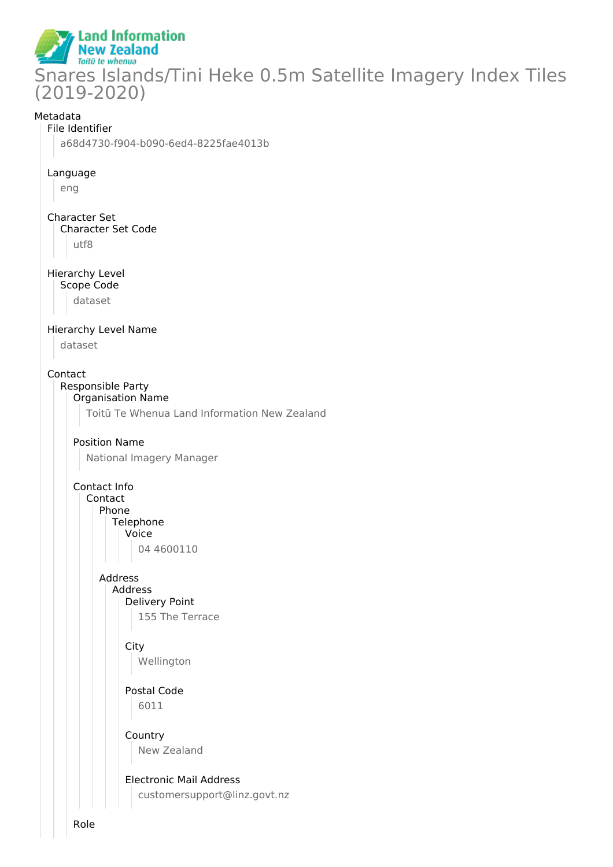

#### Metadata

#### File Identifier

a68d4730-f904-b090-6ed4-8225fae4013b

#### Language

eng

Character Set Character Set Code utf8

#### Hierarchy Level Scope Code

dataset

## Hierarchy Level Name

dataset

#### Contact

# Responsible Party

Organisation Name

Toitū Te Whenua Land Information New Zealand

## Position Name

National Imagery Manager

## Contact Info

Contact Phone

#### Telephone

Voice

04 4600110

## Address Address

Delivery Point 155 The Terrace

# **City**

Wellington

#### Postal Code 6011

Country New Zealand

## Electronic Mail Address customersupport@linz.govt.nz

Role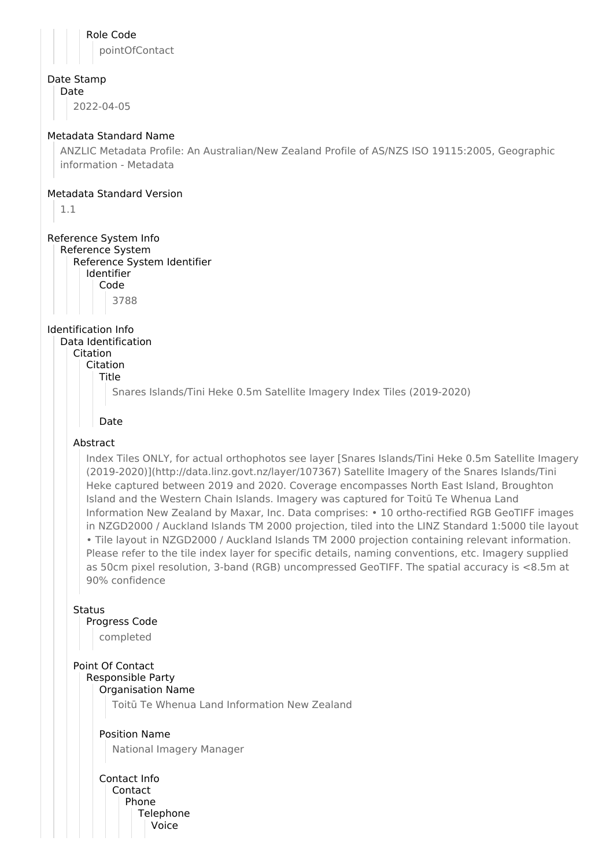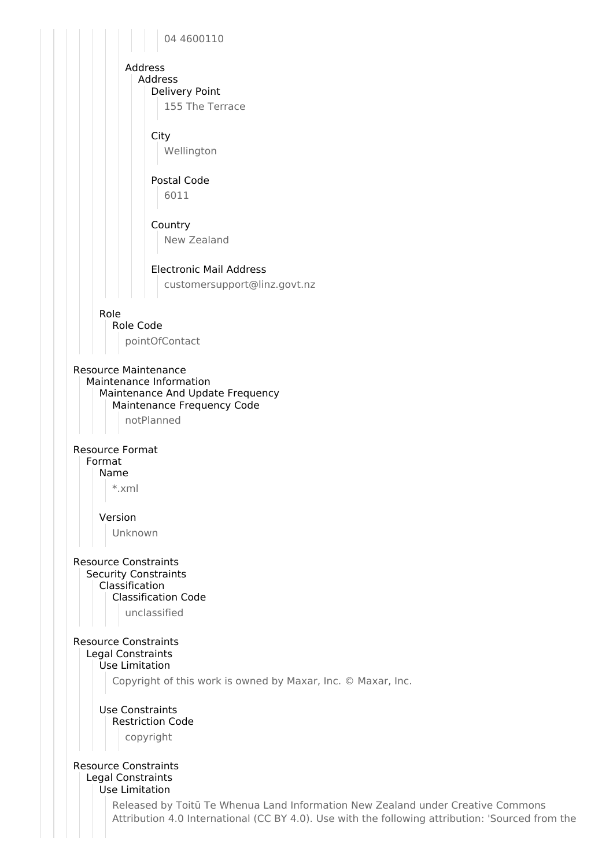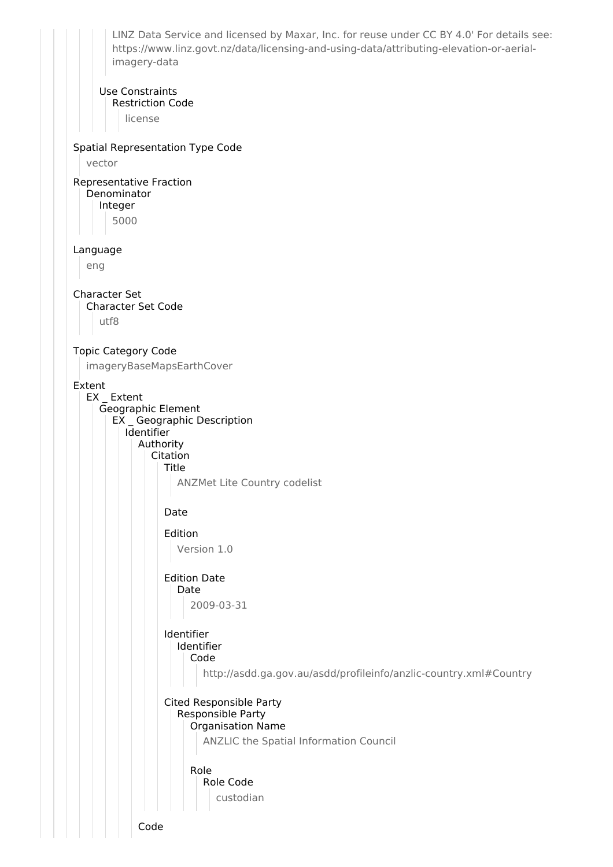LINZ Data Service and licensed by Maxar, Inc. for reuse under CC BY 4.0' For details see: https://www.linz.govt.nz/data/licensing-and-using-data/attributing-elevation-or-aerialimagery-data Use Constraints Restriction Code license Spatial Representation Type Code vector Representative Fraction Denominator Integer 5000 Language eng Character Set Character Set Code utf8 Topic Category Code imageryBaseMapsEarthCover Extent EX \_ Extent Geographic Element EX \_ Geographic Description **I**dentifier Authority Citation Title ANZMet Lite Country codelist Date Edition Version 1.0 Edition Date Date 2009-03-31 Identifier Identifier Code http://asdd.ga.gov.au/asdd/profileinfo/anzlic-country.xml#Country Cited Responsible Party Responsible Party Organisation Name ANZLIC the Spatial Information Council Role Role Code custodian Code